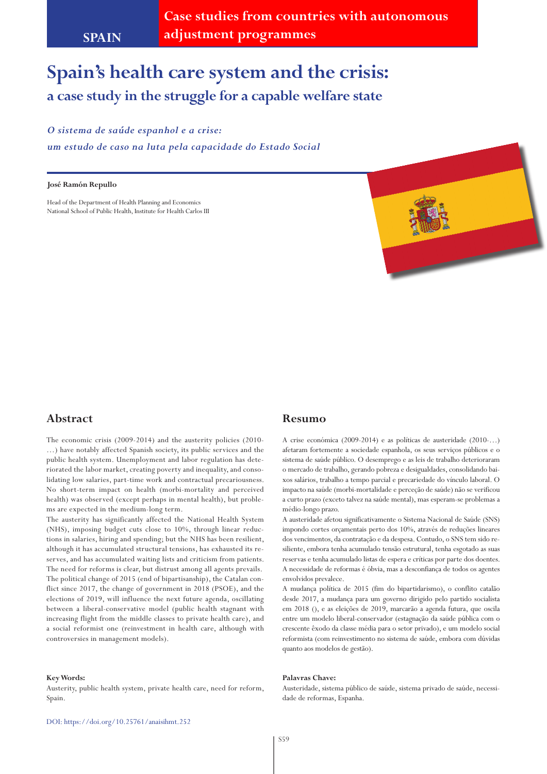# **Spain's health care system and the crisis: a case study in the struggle for a capable welfare state**

#### *O sistema de saúde espanhol e a crise:*

*um estudo de caso na luta pela capacidade do Estado Social*

#### **José Ramón Repullo**

Head of the Department of Health Planning and Economics National School of Public Health, Institute for Health Carlos III



# **Abstract**

The economic crisis (2009-2014) and the austerity policies (2010- …) have notably affected Spanish society, its public services and the public health system. Unemployment and labor regulation has deteriorated the labor market, creating poverty and inequality, and consolidating low salaries, part-time work and contractual precariousness. No short-term impact on health (morbi-mortality and perceived health) was observed (except perhaps in mental health), but problems are expected in the medium-long term.

The austerity has significantly affected the National Health System (NHS), imposing budget cuts close to 10%, through linear reductions in salaries, hiring and spending; but the NHS has been resilient, although it has accumulated structural tensions, has exhausted its reserves, and has accumulated waiting lists and criticism from patients. The need for reforms is clear, but distrust among all agents prevails. The political change of 2015 (end of bipartisanship), the Catalan conflict since 2017, the change of government in 2018 (PSOE), and the elections of 2019, will influence the next future agenda, oscillating between a liberal-conservative model (public health stagnant with increasing flight from the middle classes to private health care), and a social reformist one (reinvestment in health care, although with controversies in management models).

#### **Key Words:**

Austerity, public health system, private health care, need for reform, Spain.

#### **Resumo**

A crise económica (2009-2014) e as políticas de austeridade (2010-…) afetaram fortemente a sociedade espanhola, os seus serviços públicos e o sistema de saúde público. O desemprego e as leis de trabalho deterioraram o mercado de trabalho, gerando pobreza e desigualdades, consolidando baixos salários, trabalho a tempo parcial e precariedade do vínculo laboral. O impacto na saúde (morbi-mortalidade e perceção de saúde) não se verificou a curto prazo (exceto talvez na saúde mental), mas esperam-se problemas a médio-longo prazo.

A austeridade afetou significativamente o Sistema Nacional de Saúde (SNS) impondo cortes orçamentais perto dos 10%, através de reduções lineares dos vencimentos, da contratação e da despesa. Contudo, o SNS tem sido resiliente, embora tenha acumulado tensão estrutural, tenha esgotado as suas reservas e tenha acumulado listas de espera e críticas por parte dos doentes. A necessidade de reformas é óbvia, mas a desconfiança de todos os agentes envolvidos prevalece.

A mudança política de 2015 (fim do bipartidarismo), o conflito catalão desde 2017, a mudança para um governo dirigido pelo partido socialista em 2018 (), e as eleições de 2019, marcarão a agenda futura, que oscila entre um modelo liberal-conservador (estagnação da saúde pública com o crescente êxodo da classe média para o setor privado), e um modelo social reformista (com reinvestimento no sistema de saúde, embora com dúvidas quanto aos modelos de gestão).

#### **Palavras Chave:**

Austeridade, sistema público de saúde, sistema privado de saúde, necessidade de reformas, Espanha.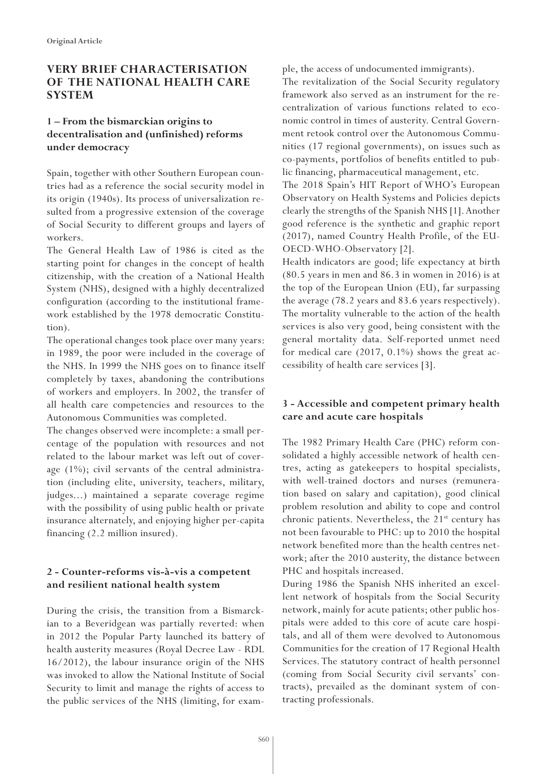# **VERY BRIEF CHARACTERISATION OF THE NATIONAL HEALTH CARE SYSTEM**

# **1 – From the bismarckian origins to decentralisation and (unfinished) reforms under democracy**

Spain, together with other Southern European countries had as a reference the social security model in its origin (1940s). Its process of universalization resulted from a progressive extension of the coverage of Social Security to different groups and layers of workers.

The General Health Law of 1986 is cited as the starting point for changes in the concept of health citizenship, with the creation of a National Health System (NHS), designed with a highly decentralized configuration (according to the institutional framework established by the 1978 democratic Constitution).

The operational changes took place over many years: in 1989, the poor were included in the coverage of the NHS. In 1999 the NHS goes on to finance itself completely by taxes, abandoning the contributions of workers and employers. In 2002, the transfer of all health care competencies and resources to the Autonomous Communities was completed.

The changes observed were incomplete: a small percentage of the population with resources and not related to the labour market was left out of coverage  $(1\%)$ ; civil servants of the central administration (including elite, university, teachers, military, judges...) maintained a separate coverage regime with the possibility of using public health or private insurance alternately, and enjoying higher per-capita financing (2.2 million insured).

# **2 - Counter-reforms vis-à-vis a competent and resilient national health system**

During the crisis, the transition from a Bismarckian to a Beveridgean was partially reverted: when in 2012 the Popular Party launched its battery of health austerity measures (Royal Decree Law - RDL 16/2012), the labour insurance origin of the NHS was invoked to allow the National Institute of Social Security to limit and manage the rights of access to the public services of the NHS (limiting, for example, the access of undocumented immigrants).

The revitalization of the Social Security regulatory framework also served as an instrument for the recentralization of various functions related to economic control in times of austerity. Central Government retook control over the Autonomous Communities (17 regional governments), on issues such as co-payments, portfolios of benefits entitled to public financing, pharmaceutical management, etc.

The 2018 Spain's HIT Report of WHO's European Observatory on Health Systems and Policies depicts clearly the strengths of the Spanish NHS [1]. Another good reference is the synthetic and graphic report (2017), named Country Health Profile, of the EU-OECD-WHO-Observatory [2].

Health indicators are good; life expectancy at birth (80.5 years in men and 86.3 in women in 2016) is at the top of the European Union (EU), far surpassing the average (78.2 years and 83.6 years respectively). The mortality vulnerable to the action of the health services is also very good, being consistent with the general mortality data. Self-reported unmet need for medical care (2017, 0.1%) shows the great accessibility of health care services [3].

# **3 - Accessible and competent primary health care and acute care hospitals**

The 1982 Primary Health Care (PHC) reform consolidated a highly accessible network of health centres, acting as gatekeepers to hospital specialists, with well-trained doctors and nurses (remuneration based on salary and capitation), good clinical problem resolution and ability to cope and control chronic patients. Nevertheless, the  $21<sup>st</sup>$  century has not been favourable to PHC: up to 2010 the hospital network benefited more than the health centres network; after the 2010 austerity, the distance between PHC and hospitals increased.

During 1986 the Spanish NHS inherited an excellent network of hospitals from the Social Security network, mainly for acute patients; other public hospitals were added to this core of acute care hospitals, and all of them were devolved to Autonomous Communities for the creation of 17 Regional Health Services. The statutory contract of health personnel (coming from Social Security civil servants' contracts), prevailed as the dominant system of contracting professionals.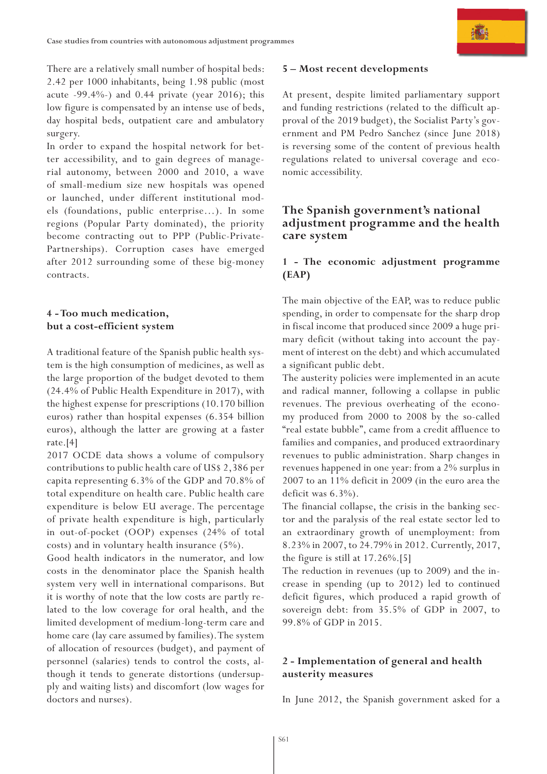There are a relatively small number of hospital beds: 2.42 per 1000 inhabitants, being 1.98 public (most acute  $-99.4\%$ -) and 0.44 private (year 2016); this low figure is compensated by an intense use of beds, day hospital beds, outpatient care and ambulatory surgery.

In order to expand the hospital network for better accessibility, and to gain degrees of managerial autonomy, between 2000 and 2010, a wave of small-medium size new hospitals was opened or launched, under different institutional models (foundations, public enterprise…). In some regions (Popular Party dominated), the priority become contracting out to PPP (Public-Private-Partnerships). Corruption cases have emerged after 2012 surrounding some of these big-money contracts.

# **4 - Too much medication, but a cost-efficient system**

A traditional feature of the Spanish public health system is the high consumption of medicines, as well as the large proportion of the budget devoted to them (24.4% of Public Health Expenditure in 2017), with the highest expense for prescriptions (10.170 billion euros) rather than hospital expenses (6.354 billion euros), although the latter are growing at a faster rate.[4]

2017 OCDE data shows a volume of compulsory contributions to public health care of US\$ 2,386 per capita representing 6.3% of the GDP and 70.8% of total expenditure on health care. Public health care expenditure is below EU average. The percentage of private health expenditure is high, particularly in out-of-pocket (OOP) expenses (24% of total costs) and in voluntary health insurance (5%).

Good health indicators in the numerator, and low costs in the denominator place the Spanish health system very well in international comparisons. But it is worthy of note that the low costs are partly related to the low coverage for oral health, and the limited development of medium-long-term care and home care (lay care assumed by families). The system of allocation of resources (budget), and payment of personnel (salaries) tends to control the costs, although it tends to generate distortions (undersupply and waiting lists) and discomfort (low wages for doctors and nurses).

#### **5 – Most recent developments**

At present, despite limited parliamentary support and funding restrictions (related to the difficult approval of the 2019 budget), the Socialist Party's government and PM Pedro Sanchez (since June 2018) is reversing some of the content of previous health regulations related to universal coverage and economic accessibility.

# **The Spanish government's national adjustment programme and the health care system**

#### **1 - The economic adjustment programme (EAP)**

The main objective of the EAP, was to reduce public spending, in order to compensate for the sharp drop in fiscal income that produced since 2009 a huge primary deficit (without taking into account the payment of interest on the debt) and which accumulated a significant public debt.

The austerity policies were implemented in an acute and radical manner, following a collapse in public revenues. The previous overheating of the economy produced from 2000 to 2008 by the so-called "real estate bubble", came from a credit affluence to families and companies, and produced extraordinary revenues to public administration. Sharp changes in revenues happened in one year: from a 2% surplus in 2007 to an 11% deficit in 2009 (in the euro area the deficit was 6.3%).

The financial collapse, the crisis in the banking sector and the paralysis of the real estate sector led to an extraordinary growth of unemployment: from 8.23% in 2007, to 24.79% in 2012. Currently, 2017, the figure is still at 17.26%.[5]

The reduction in revenues (up to 2009) and the increase in spending (up to 2012) led to continued deficit figures, which produced a rapid growth of sovereign debt: from 35.5% of GDP in 2007, to 99.8% of GDP in 2015.

#### **2 - Implementation of general and health austerity measures**

In June 2012, the Spanish government asked for a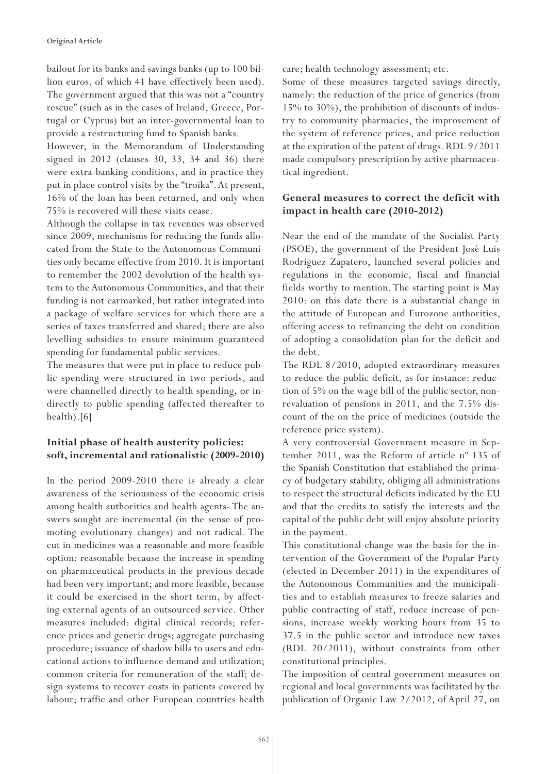bailout for its banks and savings banks (up to 100 billion euros, of which 41 have effectively been used). The government argued that this was not a "country rescue" (such as in the cases of Ireland, Greece, Portugal or Cyprus) but an inter-governmental loan to provide a restructuring fund to Spanish banks.

However, in the Memorandum of Understanding signed in 2012 (clauses 30, 33, 34 and 36) there were extra-banking conditions, and in practice they put in place control visits by the "troika". At present, 16% of the loan has been returned, and only when 75% is recovered will these visits cease.

Although the collapse in tax revenues was observed since 2009, mechanisms for reducing the funds allocated from the State to the Autonomous Communities only became effective from 2010. It is important to remember the 2002 devolution of the health system to the Autonomous Communities, and that their funding is not earmarked, but rather integrated into a package of welfare services for which there are a series of taxes transferred and shared; there are also levelling subsidies to ensure minimum guaranteed spending for fundamental public services.

The measures that were put in place to reduce public spending were structured in two periods, and were channelled directly to health spending, or indirectly to public spending (affected thereafter to health).[6]

# **Initial phase of health austerity policies: soft, incremental and rationalistic (2009-2010)**

In the period 2009-2010 there is already a clear awareness of the seriousness of the economic crisis among health authorities and health agents- The answers sought are incremental (in the sense of promoting evolutionary changes) and not radical. The cut in medicines was a reasonable and more feasible option: reasonable because the increase in spending on pharmaceutical products in the previous decade had been very important; and more feasible, because it could be exercised in the short term, by affecting external agents of an outsourced service. Other measures included: digital clinical records; reference prices and generic drugs; aggregate purchasing procedure; issuance of shadow bills to users and educational actions to influence demand and utilization; common criteria for remuneration of the staff; design systems to recover costs in patients covered by labour; traffic and other European countries health

care; health technology assessment; etc.

Some of these measures targeted savings directly, namely: the reduction of the price of generics (from 15% to 30%), the prohibition of discounts of industry to community pharmacies, the improvement of the system of reference prices, and price reduction at the expiration of the patent of drugs. RDL 9/2011 made compulsory prescription by active pharmaceutical ingredient.

# **General measures to correct the deficit with impact in health care (2010-2012)**

Near the end of the mandate of the Socialist Party (PSOE), the government of the President José Luis Rodriguez Zapatero, launched several policies and regulations in the economic, fiscal and financial fields worthy to mention. The starting point is May 2010: on this date there is a substantial change in the attitude of European and Eurozone authorities, offering access to refinancing the debt on condition of adopting a consolidation plan for the deficit and the debt.

The RDL 8/2010, adopted extraordinary measures to reduce the public deficit, as for instance: reduction of 5% on the wage bill of the public sector, nonrevaluation of pensions in 2011, and the 7.5% discount of the on the price of medicines (outside the reference price system).

A very controversial Government measure in September 2011, was the Reform of article nº 135 of the Spanish Constitution that established the primacy of budgetary stability, obliging all administrations to respect the structural deficits indicated by the EU and that the credits to satisfy the interests and the capital of the public debt will enjoy absolute priority in the payment.

This constitutional change was the basis for the intervention of the Government of the Popular Party (elected in December 2011) in the expenditures of the Autonomous Communities and the municipalities and to establish measures to freeze salaries and public contracting of staff, reduce increase of pensions, increase weekly working hours from 35 to 37.5 in the public sector and introduce new taxes (RDL 20/2011), without constraints from other constitutional principles.

The imposition of central government measures on regional and local governments was facilitated by the publication of Organic Law 2/2012, of April 27, on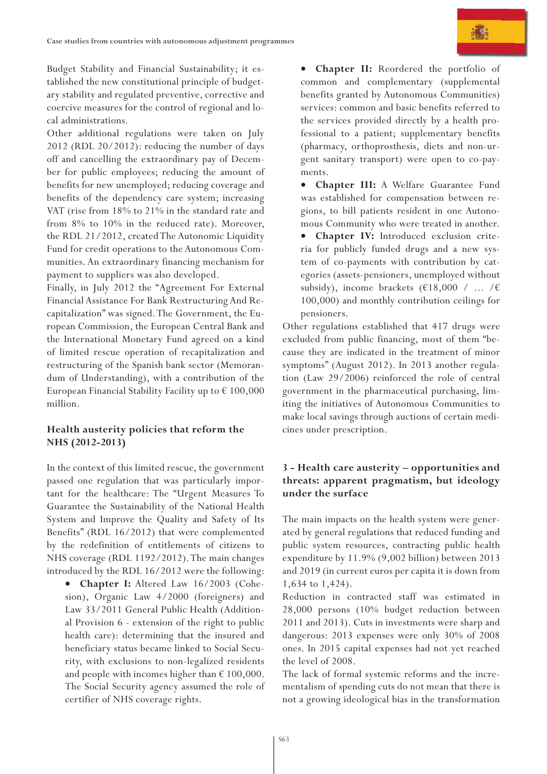Budget Stability and Financial Sustainability; it established the new constitutional principle of budgetary stability and regulated preventive, corrective and coercive measures for the control of regional and local administrations.

Other additional regulations were taken on July 2012 (RDL 20/2012): reducing the number of days off and cancelling the extraordinary pay of December for public employees; reducing the amount of benefits for new unemployed; reducing coverage and benefits of the dependency care system; increasing VAT (rise from 18% to 21% in the standard rate and from 8% to 10% in the reduced rate). Moreover, the RDL 21/2012, created The Autonomic Liquidity Fund for credit operations to the Autonomous Communities. An extraordinary financing mechanism for payment to suppliers was also developed.

Finally, in July 2012 the "Agreement For External Financial Assistance For Bank Restructuring And Recapitalization" was signed. The Government, the European Commission, the European Central Bank and the International Monetary Fund agreed on a kind of limited rescue operation of recapitalization and restructuring of the Spanish bank sector (Memorandum of Understanding), with a contribution of the European Financial Stability Facility up to  $\epsilon$  100,000 million.

#### **Health austerity policies that reform the NHS (2012-2013)**

In the context of this limited rescue, the government passed one regulation that was particularly important for the healthcare: The "Urgent Measures To Guarantee the Sustainability of the National Health System and Improve the Quality and Safety of Its Benefits" (RDL 16/2012) that were complemented by the redefinition of entitlements of citizens to NHS coverage (RDL 1192/2012). The main changes introduced by the RDL 16/2012 were the following:

• **Chapter I:** Altered Law 16/2003 (Cohesion), Organic Law 4/2000 (foreigners) and Law 33/2011 General Public Health (Additional Provision 6 - extension of the right to public health care): determining that the insured and beneficiary status became linked to Social Security, with exclusions to non-legalized residents and people with incomes higher than  $\epsilon$  100,000. The Social Security agency assumed the role of certifier of NHS coverage rights.

• **Chapter II:** Reordered the portfolio of common and complementary (supplemental benefits granted by Autonomous Communities) services: common and basic benefits referred to the services provided directly by a health professional to a patient; supplementary benefits (pharmacy, orthoprosthesis, diets and non-urgent sanitary transport) were open to co-payments.

• **Chapter III:** A Welfare Guarantee Fund was established for compensation between regions, to bill patients resident in one Autonomous Community who were treated in another.

**Chapter IV:** Introduced exclusion criteria for publicly funded drugs and a new system of co-payments with contribution by categories (assets-pensioners, unemployed without subsidy), income brackets  $(\text{\textsterling}18,000 / \ldots / \text{\textsterling})$ 100,000) and monthly contribution ceilings for pensioners.

Other regulations established that 417 drugs were excluded from public financing, most of them "because they are indicated in the treatment of minor symptoms" (August 2012). In 2013 another regulation (Law 29/2006) reinforced the role of central government in the pharmaceutical purchasing, limiting the initiatives of Autonomous Communities to make local savings through auctions of certain medicines under prescription.

#### **3 - Health care austerity – opportunities and threats: apparent pragmatism, but ideology under the surface**

The main impacts on the health system were generated by general regulations that reduced funding and public system resources, contracting public health expenditure by 11.9% (9,002 billion) between 2013 and 2019 (in current euros per capita it is down from 1,634 to 1,424).

Reduction in contracted staff was estimated in 28,000 persons (10% budget reduction between 2011 and 2013). Cuts in investments were sharp and dangerous: 2013 expenses were only 30% of 2008 ones. In 2015 capital expenses had not yet reached the level of 2008.

The lack of formal systemic reforms and the incrementalism of spending cuts do not mean that there is not a growing ideological bias in the transformation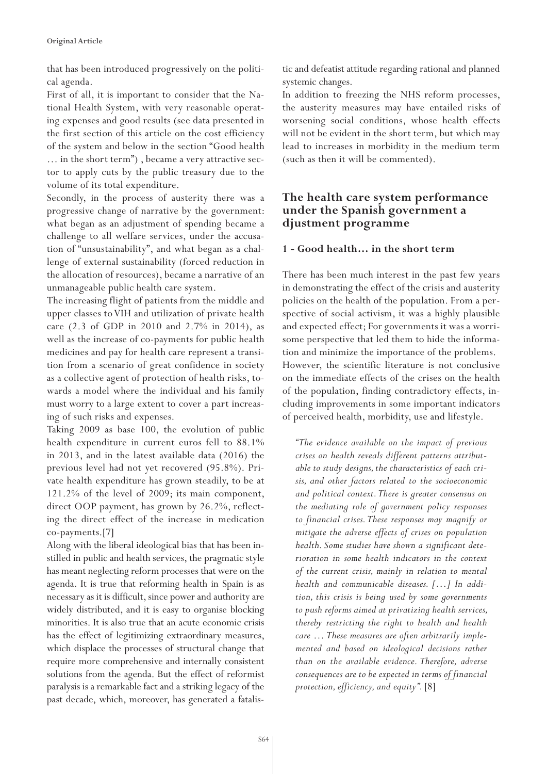that has been introduced progressively on the political agenda.

First of all, it is important to consider that the National Health System, with very reasonable operating expenses and good results (see data presented in the first section of this article on the cost efficiency of the system and below in the section "Good health … in the short term") , became a very attractive sector to apply cuts by the public treasury due to the volume of its total expenditure.

Secondly, in the process of austerity there was a progressive change of narrative by the government: what began as an adjustment of spending became a challenge to all welfare services, under the accusation of "unsustainability", and what began as a challenge of external sustainability (forced reduction in the allocation of resources), became a narrative of an unmanageable public health care system.

The increasing flight of patients from the middle and upper classes to VIH and utilization of private health care (2.3 of GDP in 2010 and 2.7% in 2014), as well as the increase of co-payments for public health medicines and pay for health care represent a transition from a scenario of great confidence in society as a collective agent of protection of health risks, towards a model where the individual and his family must worry to a large extent to cover a part increasing of such risks and expenses.

Taking 2009 as base 100, the evolution of public health expenditure in current euros fell to 88.1% in 2013, and in the latest available data (2016) the previous level had not yet recovered (95.8%). Private health expenditure has grown steadily, to be at 121.2% of the level of 2009; its main component, direct OOP payment, has grown by 26.2%, reflecting the direct effect of the increase in medication co-payments.[7]

Along with the liberal ideological bias that has been instilled in public and health services, the pragmatic style has meant neglecting reform processes that were on the agenda. It is true that reforming health in Spain is as necessary as it is difficult, since power and authority are widely distributed, and it is easy to organise blocking minorities. It is also true that an acute economic crisis has the effect of legitimizing extraordinary measures, which displace the processes of structural change that require more comprehensive and internally consistent solutions from the agenda. But the effect of reformist paralysis is a remarkable fact and a striking legacy of the past decade, which, moreover, has generated a fatalistic and defeatist attitude regarding rational and planned systemic changes.

In addition to freezing the NHS reform processes, the austerity measures may have entailed risks of worsening social conditions, whose health effects will not be evident in the short term, but which may lead to increases in morbidity in the medium term (such as then it will be commented).

# **The health care system performance under the Spanish government a djustment programme**

#### **1 - Good health… in the short term**

There has been much interest in the past few years in demonstrating the effect of the crisis and austerity policies on the health of the population. From a perspective of social activism, it was a highly plausible and expected effect; For governments it was a worrisome perspective that led them to hide the information and minimize the importance of the problems. However, the scientific literature is not conclusive on the immediate effects of the crises on the health of the population, finding contradictory effects, including improvements in some important indicators of perceived health, morbidity, use and lifestyle.

*"The evidence available on the impact of previous crises on health reveals different patterns attributable to study designs, the characteristics of each crisis, and other factors related to the socioeconomic and political context. There is greater consensus on the mediating role of government policy responses to financial crises. These responses may magnify or mitigate the adverse effects of crises on population health. Some studies have shown a significant deterioration in some health indicators in the context of the current crisis, mainly in relation to mental health and communicable diseases. […] In addition, this crisis is being used by some governments to push reforms aimed at privatizing health services, thereby restricting the right to health and health care … These measures are often arbitrarily implemented and based on ideological decisions rather than on the available evidence. Therefore, adverse consequences are to be expected in terms of financial protection, efficiency, and equity".* [8]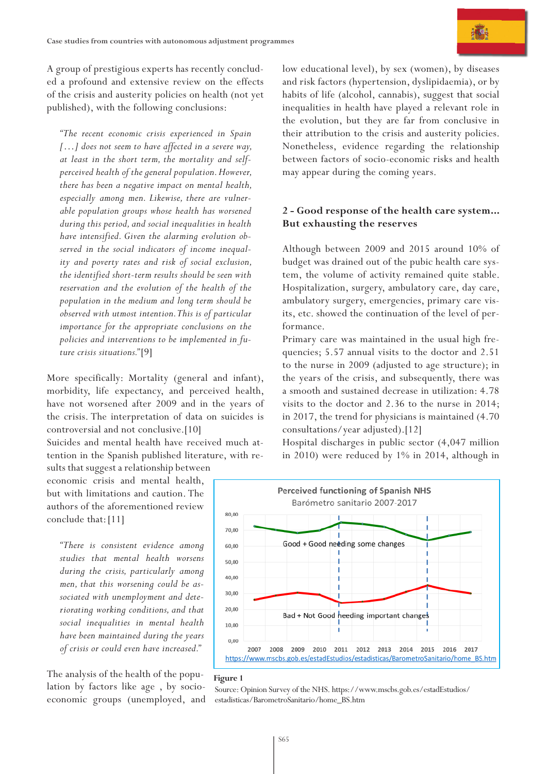A group of prestigious experts has recently concluded a profound and extensive review on the effects of the crisis and austerity policies on health (not yet published), with the following conclusions:

*"The recent economic crisis experienced in Spain […] does not seem to have affected in a severe way, at least in the short term, the mortality and selfperceived health of the general population. However, there has been a negative impact on mental health, especially among men. Likewise, there are vulnerable population groups whose health has worsened during this period, and social inequalities in health have intensified. Given the alarming evolution observed in the social indicators of income inequality and poverty rates and risk of social exclusion, the identified short-term results should be seen with reservation and the evolution of the health of the population in the medium and long term should be observed with utmost intention. This is of particular importance for the appropriate conclusions on the policies and interventions to be implemented in future crisis situations."* [9]

More specifically: Mortality (general and infant), morbidity, life expectancy, and perceived health, have not worsened after 2009 and in the years of the crisis. The interpretation of data on suicides is controversial and not conclusive.[10]

Suicides and mental health have received much attention in the Spanish published literature, with results that suggest a relationship between

economic crisis and mental health, but with limitations and caution. The authors of the aforementioned review conclude that:[11]

*"There is consistent evidence among studies that mental health worsens during the crisis, particularly among men, that this worsening could be associated with unemployment and deteriorating working conditions, and that social inequalities in mental health have been maintained during the years of crisis or could even have increased."*

The analysis of the health of the population by factors like age , by socioeconomic groups (unemployed, and low educational level), by sex (women), by diseases and risk factors (hypertension, dyslipidaemia), or by habits of life (alcohol, cannabis), suggest that social inequalities in health have played a relevant role in the evolution, but they are far from conclusive in their attribution to the crisis and austerity policies. Nonetheless, evidence regarding the relationship between factors of socio-economic risks and health may appear during the coming years.

#### **2 - Good response of the health care system... But exhausting the reserves**

Although between 2009 and 2015 around 10% of budget was drained out of the pubic health care system, the volume of activity remained quite stable. Hospitalization, surgery, ambulatory care, day care, ambulatory surgery, emergencies, primary care visits, etc. showed the continuation of the level of performance.

Primary care was maintained in the usual high frequencies; 5.57 annual visits to the doctor and 2.51 to the nurse in 2009 (adjusted to age structure); in the years of the crisis, and subsequently, there was a smooth and sustained decrease in utilization: 4.78 visits to the doctor and 2.36 to the nurse in 2014; in 2017, the trend for physicians is maintained (4.70 consultations/year adjusted).[12]

Hospital discharges in public sector (4,047 million in 2010) were reduced by 1% in 2014, although in



#### **Figure 1**

Source: Opinion Survey of the NHS. https://www.mscbs.gob.es/estadEstudios/ estadisticas/BarometroSanitario/home\_BS.htm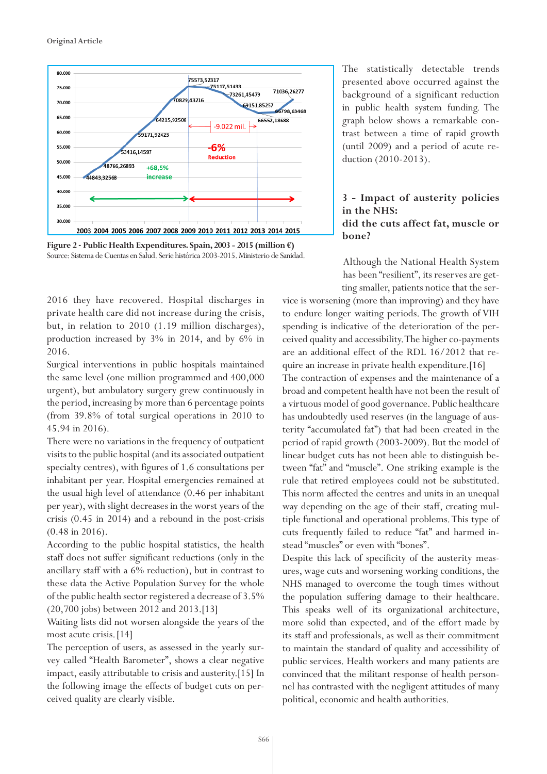

**Figure 2 - Public Health Expenditures. Spain, 2003 - 2015 (million €)** Source: Sistema de Cuentas en Salud. Serie histórica 2003-2015. Ministerio de Sanidad.

2016 they have recovered. Hospital discharges in private health care did not increase during the crisis, but, in relation to 2010 (1.19 million discharges), production increased by 3% in 2014, and by 6% in 2016.

Surgical interventions in public hospitals maintained the same level (one million programmed and 400,000 urgent), but ambulatory surgery grew continuously in the period, increasing by more than 6 percentage points (from 39.8% of total surgical operations in 2010 to 45.94 in 2016).

There were no variations in the frequency of outpatient visits to the public hospital (and its associated outpatient specialty centres), with figures of 1.6 consultations per inhabitant per year. Hospital emergencies remained at the usual high level of attendance (0.46 per inhabitant per year), with slight decreases in the worst years of the crisis (0.45 in 2014) and a rebound in the post-crisis (0.48 in 2016).

According to the public hospital statistics, the health staff does not suffer significant reductions (only in the ancillary staff with a 6% reduction), but in contrast to these data the Active Population Survey for the whole of the public health sector registered a decrease of 3.5% (20,700 jobs) between 2012 and 2013.[13]

Waiting lists did not worsen alongside the years of the most acute crisis.[14]

The perception of users, as assessed in the yearly survey called "Health Barometer", shows a clear negative impact, easily attributable to crisis and austerity.[15] In the following image the effects of budget cuts on perceived quality are clearly visible.

The statistically detectable trends presented above occurred against the background of a significant reduction in public health system funding. The graph below shows a remarkable contrast between a time of rapid growth (until 2009) and a period of acute reduction (2010-2013).

#### **3 - Impact of austerity policies in the NHS: did the cuts affect fat, muscle or bone?**

Although the National Health System has been "resilient", its reserves are getting smaller, patients notice that the ser-

vice is worsening (more than improving) and they have to endure longer waiting periods. The growth of VIH spending is indicative of the deterioration of the perceived quality and accessibility. The higher co-payments are an additional effect of the RDL 16/2012 that require an increase in private health expenditure.[16] The contraction of expenses and the maintenance of a broad and competent health have not been the result of a virtuous model of good governance. Public healthcare has undoubtedly used reserves (in the language of austerity "accumulated fat") that had been created in the period of rapid growth (2003-2009). But the model of linear budget cuts has not been able to distinguish between "fat" and "muscle". One striking example is the rule that retired employees could not be substituted. This norm affected the centres and units in an unequal way depending on the age of their staff, creating multiple functional and operational problems. This type of cuts frequently failed to reduce "fat" and harmed instead "muscles" or even with "bones".

Despite this lack of specificity of the austerity measures, wage cuts and worsening working conditions, the NHS managed to overcome the tough times without the population suffering damage to their healthcare. This speaks well of its organizational architecture, more solid than expected, and of the effort made by its staff and professionals, as well as their commitment to maintain the standard of quality and accessibility of public services. Health workers and many patients are convinced that the militant response of health personnel has contrasted with the negligent attitudes of many political, economic and health authorities.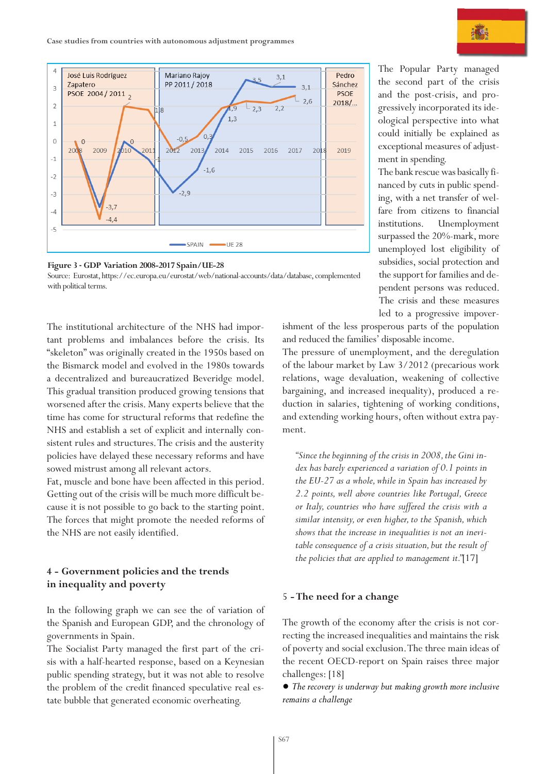



The institutional architecture of the NHS had important problems and imbalances before the crisis. Its "skeleton" was originally created in the 1950s based on the Bismarck model and evolved in the 1980s towards a decentralized and bureaucratized Beveridge model. This gradual transition produced growing tensions that worsened after the crisis. Many experts believe that the time has come for structural reforms that redefine the NHS and establish a set of explicit and internally consistent rules and structures. The crisis and the austerity policies have delayed these necessary reforms and have sowed mistrust among all relevant actors.

Fat, muscle and bone have been affected in this period. Getting out of the crisis will be much more difficult because it is not possible to go back to the starting point. The forces that might promote the needed reforms of the NHS are not easily identified.

#### **4 - Government policies and the trends in inequality and poverty**

In the following graph we can see the of variation of the Spanish and European GDP, and the chronology of governments in Spain.

The Socialist Party managed the first part of the crisis with a half-hearted response, based on a Keynesian public spending strategy, but it was not able to resolve the problem of the credit financed speculative real estate bubble that generated economic overheating.

The Popular Party managed the second part of the crisis and the post-crisis, and progressively incorporated its ideological perspective into what could initially be explained as exceptional measures of adjustment in spending.

The bank rescue was basically financed by cuts in public spending, with a net transfer of welfare from citizens to financial institutions. Unemployment surpassed the 20%-mark, more unemployed lost eligibility of subsidies, social protection and the support for families and dependent persons was reduced. The crisis and these measures led to a progressive impover-

ishment of the less prosperous parts of the population and reduced the families' disposable income.

The pressure of unemployment, and the deregulation of the labour market by Law 3/2012 (precarious work relations, wage devaluation, weakening of collective bargaining, and increased inequality), produced a reduction in salaries, tightening of working conditions, and extending working hours, often without extra payment.

*"Since the beginning of the crisis in 2008, the Gini index has barely experienced a variation of 0.1 points in the EU-27 as a whole, while in Spain has increased by 2.2 points, well above countries like Portugal, Greece or Italy, countries who have suffered the crisis with a similar intensity, or even higher, to the Spanish, which shows that the increase in inequalities is not an inevitable consequence of a crisis situation, but the result of the policies that are applied to management it."*[17]

#### 5 **- The need for a change**

The growth of the economy after the crisis is not correcting the increased inequalities and maintains the risk of poverty and social exclusion. The three main ideas of the recent OECD-report on Spain raises three major challenges: [18]

*● The recovery is underway but making growth more inclusive remains a challenge*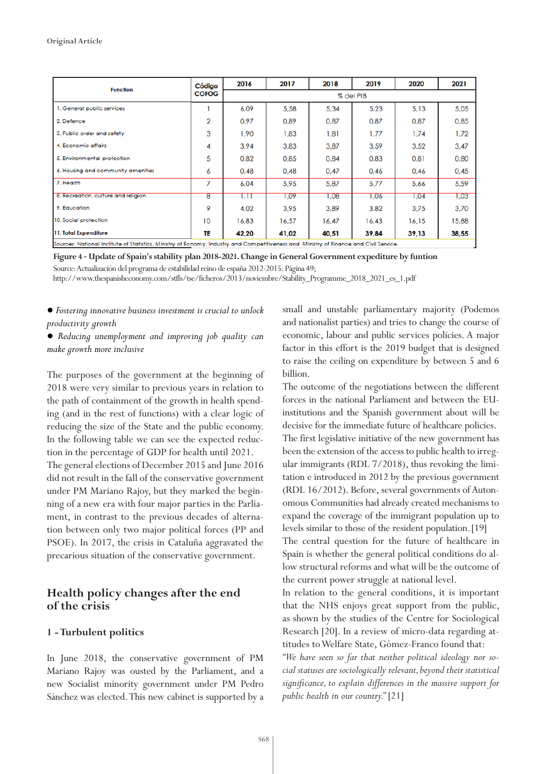| <b>Function</b>                                                                                                                        | Código<br><b>COFOG</b> | 2016      | 2017  | 2018  | 2019  | 2020  | 2021  |  |
|----------------------------------------------------------------------------------------------------------------------------------------|------------------------|-----------|-------|-------|-------|-------|-------|--|
|                                                                                                                                        |                        | % del PIB |       |       |       |       |       |  |
| 1. General public services                                                                                                             |                        | 6.09      | 5.58  | 5,34  | 5.23  | 5.13  | 5.05  |  |
| 2. Defence                                                                                                                             | $\overline{2}$         | 0,97      | 0,89  | 0,87  | 0,87  | 0.87  | 0,85  |  |
| 3. Public order and safety                                                                                                             | 3                      | 1,90      | 1,83  | 1,81  | 1,77  | 1.74  | 1,72  |  |
| 4. Economic affairs                                                                                                                    | 4                      | 3,94      | 3,83  | 3,87  | 3,59  | 3,52  | 3,47  |  |
| 5. Environmental protection                                                                                                            | 5                      | 0.82      | 0.85  | 0,84  | 0,83  | 0.81  | 0,80  |  |
| 6. Housing and community amenities                                                                                                     | 6                      | 0.48      | 0.48  | 0.47  | 0.46  | 0.46  | 0.45  |  |
| 7. Health                                                                                                                              | 7                      | 6.04      | 5.95  | 5,87  | 5.77  | 5.66  | 5.59  |  |
| 8. Recreation, culture and religion                                                                                                    | 8                      | 1,11      | 1,09  | 1,08  | 1,06  | 1,04  | 1,03  |  |
| 9. Education                                                                                                                           | 9                      | 4.02      | 3.95  | 3.89  | 3,82  | 3.75  | 3.70  |  |
| 10. Social protection                                                                                                                  | 10                     | 16.83     | 16,57 | 16.47 | 16.43 | 16.15 | 15,88 |  |
| 11. Total Expenditure                                                                                                                  | ΤE                     | 42,20     | 41,02 | 40,51 | 39,84 | 39,13 | 38,55 |  |
| Sources: National Institute of Statistics, Ministry of Ecnomy, Industry and Competitiveness and Ministry of Finance and Civil Service, |                        |           |       |       |       |       |       |  |

**Figure 4 - Update of Spain's stability plan 2018-2021. Change in General Government expediture by funtion**

Source: Actualización del programa de estabilidad reino de españa 2012-2015: Página 49;

http://www.thespanisheconomy.com/stfls/tse/ficheros/2013/noviembre/Stability\_Programme\_2018\_2021\_es\_1.pdf

#### *● Fostering innovative business investment is crucial to unlock productivity growth*

#### *● Reducing unemployment and improving job quality can make growth more inclusive*

The purposes of the government at the beginning of 2018 were very similar to previous years in relation to the path of containment of the growth in health spending (and in the rest of functions) with a clear logic of reducing the size of the State and the public economy. In the following table we can see the expected reduction in the percentage of GDP for health until 2021. The general elections of December 2015 and June 2016 did not result in the fall of the conservative government under PM Mariano Rajoy, but they marked the beginning of a new era with four major parties in the Parliament, in contrast to the previous decades of alternation between only two major political forces (PP and PSOE). In 2017, the crisis in Cataluña aggravated the precarious situation of the conservative government.

#### **Health policy changes after the end of the crisis**

#### **1 - Turbulent politics**

In June 2018, the conservative government of PM Mariano Rajoy was ousted by the Parliament, and a new Socialist minority government under PM Pedro Sánchez was elected. This new cabinet is supported by a small and unstable parliamentary majority (Podemos and nationalist parties) and tries to change the course of economic, labour and public services policies. A major factor in this effort is the 2019 budget that is designed to raise the ceiling on expenditure by between 5 and 6 billion.

The outcome of the negotiations between the different forces in the national Parliament and between the EUinstitutions and the Spanish government about will be decisive for the immediate future of healthcare policies. The first legislative initiative of the new government has been the extension of the access to public health to irregular immigrants (RDL 7/2018), thus revoking the limitation e introduced in 2012 by the previous government (RDL 16/2012). Before, several governments of Autonomous Communities had already created mechanisms to expand the coverage of the immigrant population up to

The central question for the future of healthcare in Spain is whether the general political conditions do allow structural reforms and what will be the outcome of the current power struggle at national level.

levels similar to those of the resident population.[19]

In relation to the general conditions, it is important that the NHS enjoys great support from the public, as shown by the studies of the Centre for Sociological Research [20]. In a review of micro-data regarding attitudes to Welfare State, Gómez-Franco found that:

*"We have seen so far that neither political ideology nor social statuses are sociologically relevant, beyond their statistical significance, to explain differences in the massive support for public health in our country."* [21]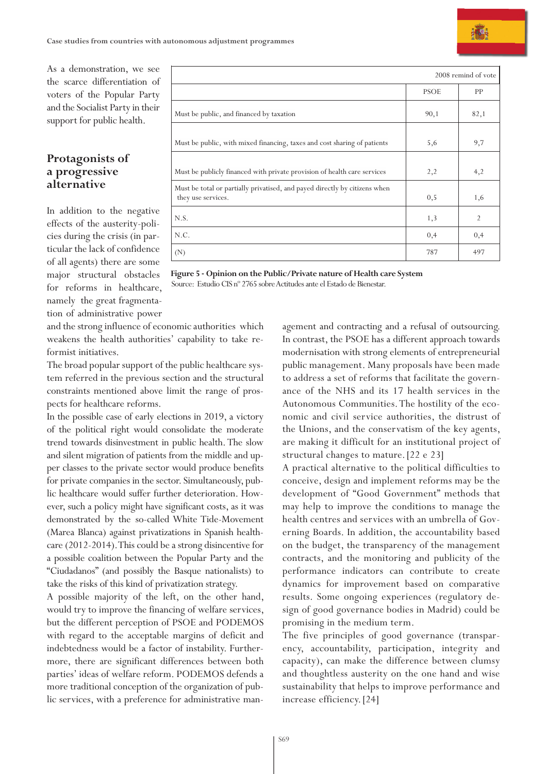# **Protagonists of a progressive alternative**

In addition to the negative effects of the austerity-policies during the crisis (in particular the lack of confidence of all agents) there are some major structural obstacles for reforms in healthcare, namely the great fragmentation of administrative power

|                                                                                                  | 2008 remind of vote |                |  |  |
|--------------------------------------------------------------------------------------------------|---------------------|----------------|--|--|
|                                                                                                  | <b>PSOE</b>         | PP             |  |  |
| Must be public, and financed by taxation                                                         | 90,1                | 82,1           |  |  |
| Must be public, with mixed financing, taxes and cost sharing of patients                         | 5,6                 | 9,7            |  |  |
| Must be publicly financed with private provision of health care services                         | 2,2                 | 4,2            |  |  |
| Must be total or partially privatised, and payed directly by citizens when<br>they use services. | 0, 5                | 1,6            |  |  |
| N.S.                                                                                             | 1,3                 | $\overline{2}$ |  |  |
| N.C.                                                                                             | 0,4                 | 0,4            |  |  |
| (N)                                                                                              | 787                 | 497            |  |  |

**Figure 5 - Opinion on the Public/Private nature of Health care System** Source: Estudio CIS nº 2765 sobre Actitudes ante el Estado de Bienestar.

and the strong influence of economic authorities which weakens the health authorities' capability to take reformist initiatives.

The broad popular support of the public healthcare system referred in the previous section and the structural constraints mentioned above limit the range of prospects for healthcare reforms.

In the possible case of early elections in 2019, a victory of the political right would consolidate the moderate trend towards disinvestment in public health. The slow and silent migration of patients from the middle and upper classes to the private sector would produce benefits for private companies in the sector. Simultaneously, public healthcare would suffer further deterioration. However, such a policy might have significant costs, as it was demonstrated by the so-called White Tide-Movement (Marea Blanca) against privatizations in Spanish healthcare (2012-2014). This could be a strong disincentive for a possible coalition between the Popular Party and the "Ciudadanos" (and possibly the Basque nationalists) to take the risks of this kind of privatization strategy.

A possible majority of the left, on the other hand, would try to improve the financing of welfare services, but the different perception of PSOE and PODEMOS with regard to the acceptable margins of deficit and indebtedness would be a factor of instability. Furthermore, there are significant differences between both parties' ideas of welfare reform. PODEMOS defends a more traditional conception of the organization of public services, with a preference for administrative management and contracting and a refusal of outsourcing. In contrast, the PSOE has a different approach towards modernisation with strong elements of entrepreneurial public management. Many proposals have been made to address a set of reforms that facilitate the governance of the NHS and its 17 health services in the Autonomous Communities. The hostility of the economic and civil service authorities, the distrust of the Unions, and the conservatism of the key agents, are making it difficult for an institutional project of structural changes to mature.[22 e 23]

A practical alternative to the political difficulties to conceive, design and implement reforms may be the development of "Good Government" methods that may help to improve the conditions to manage the health centres and services with an umbrella of Governing Boards. In addition, the accountability based on the budget, the transparency of the management contracts, and the monitoring and publicity of the performance indicators can contribute to create dynamics for improvement based on comparative results. Some ongoing experiences (regulatory design of good governance bodies in Madrid) could be promising in the medium term.

The five principles of good governance (transparency, accountability, participation, integrity and capacity), can make the difference between clumsy and thoughtless austerity on the one hand and wise sustainability that helps to improve performance and increase efficiency.[24]